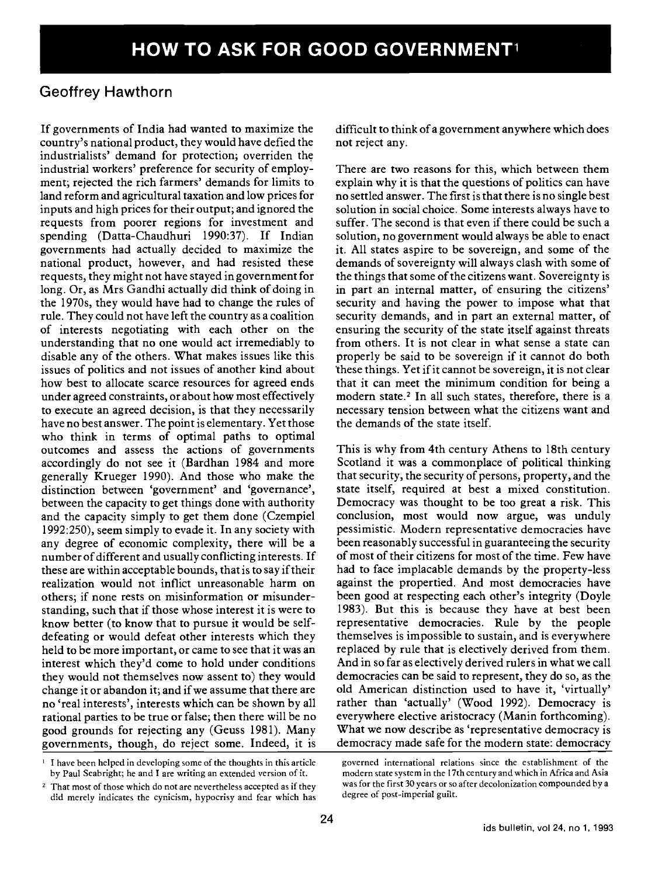## Geoffrey Hawthorn

If governments of India had wanted to maximize the country's national product, they would have defied the industrialists' demand for protection; overriden the industrial workers' preference for security of employment; rejected the rich farmers' demands for limits to land reform and agricultural taxation and low prices for inputs and high prices for their output; and ignored the requests from poorer regions for investment and spending (Datta-Chaudhuri 1990:37). If Indian governments had actually decided to maximize the national product, however, and had resisted these requests, they might not have stayed in government for long. Or, as Mrs Gandhi actually did think of doing in the 1970s, they would have had to change the rules of rule. They could not have left the country as a coalition of interests negotiating with each other on the understanding that no one would act irremediably to disable any of the others. What makes issues like this issues of politics and not issues of another kind about how best to allocate scarce resources for agreed ends under agreed constraints, or about how most effectively to execute an agreed decision, is that they necessarily have no best answer. The point is elementary. Yet those who think in terms of optimal paths to optimal outcomes and assess the actions of governments accordingly do not see it (Bardhan 1984 and more generally Krueger 1990). And those who make the distinction between 'government' and 'governance', between the capacity to get things done with authority and the capacity simply to get them done (Czempiel 1992:250), seem simply to evade it. In any society with any degree of economic complexity, there will be a number of different and usually conflicting interests. If these are within acceptable bounds, that is to say if their realization would not inflict unreasonable harm on others; if none rests on misinformation or misunderstanding, such that if those whose interest it is were to know better (to know that to pursue it would be selfdefeating or would defeat other interests which they held to be more important, or came to see that it was an interest which they'd come to hold under conditions they would not themselves now assent to) they would change it or abandon it; and if we assume that there are no 'real interests', interests which can be shown by all rational parties to be true or false; then there will be no good grounds for rejecting any (Geuss 1981). Many governments, though, do reject some. Indeed, it is difficult to think of a government anywhere which does not reject any.

There are two reasons for this, which between them explain why it is that the questions of politics can have no settled answer. The first is that there is no single best solution in social choice. Some interests always have to suffer. The second is that even if there could be such a solution, no government would always be able to enact it. All states aspire to be sovereign, and some of the demands of sovereignty will always clash with some of the things that some of the citizens want. Sovereignty is in part an internal matter, of ensuring the citizens' security and having the power to impose what that security demands, and in part an external matter, of ensuring the security of the state itself against threats from others. It is not clear in what sense a state can properly be said to be sovereign if it cannot do both these things. Yet if it cannot be sovereign, it is not clear that it can meet the minimum condition for being a modern state.<sup>2</sup> In all such states, therefore, there is a necessary tension between what the citizens want and the demands of the state itself.

This is why from 4th century Athens to 18th century Scotland it was a commonplace of political thinking that security, the security of persons, property, and the state itself, required at best a mixed constitution. Democracy was thought to be too great a risk. This conclusion, most would now argue, was unduly pessimistic. Modern representative democracies have been reasonably successful in guaranteeing the security of most of their citizens for most of the time. Few have had to face implacable demands by the property-less against the propertied. And most democracies have been good at respecting each other's integrity (Doyle 1983). But this is because they have at best been representative democracies. Rule by the people themselves is impossible to sustain, and is everywhere replaced by rule that is electively derived from them. And in so far as electively derived rulers in what we call democracies can be said to represent, they do so, as the old American distinction used to have it, 'virtually' rather than 'actually' (Wood 1992). Democracy is everywhere elective aristocracy (Manin forthcoming). What we now describe as 'representative democracy is democracy made safe for the modern state: democracy

<sup>&</sup>lt;sup>1</sup> I have been helped in developing some of the thoughts in this article by Paul Seabright; he and I are writing an extended version of it.

<sup>&</sup>lt;sup>2</sup> That most of those which do not are nevertheless accepted as if they did merely indicates the cynicism, hypocrisy and fear which has

governed international relations since the establishment of the modern state system in the 17th century and which in Africa and Asia was for the first 30 years or so after decolonization compounded by a degree of post-imperial guilt.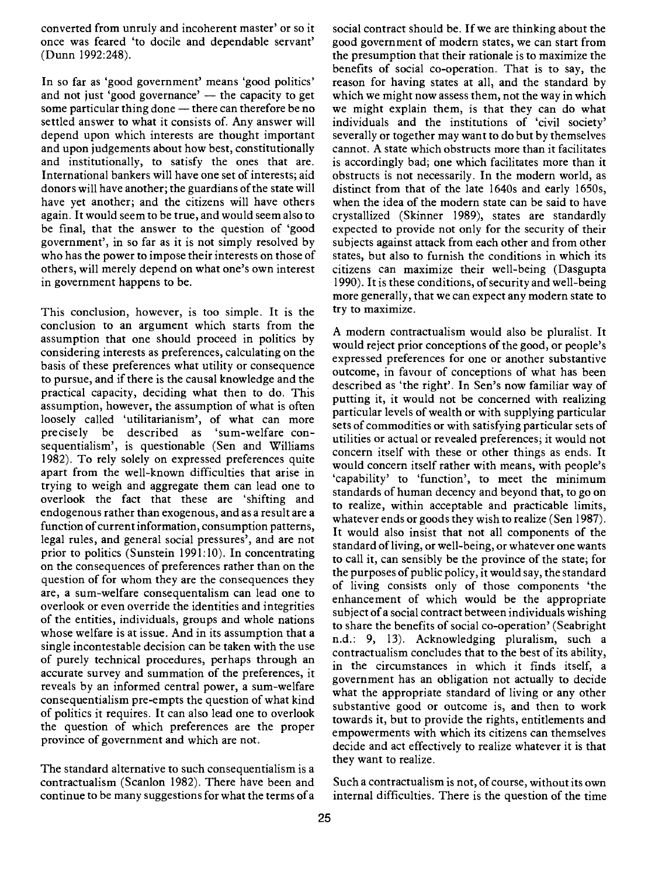converted from unruly and incoherent master' or so it once was feared 'to docile and dependable servant' (Dunn 1992:248).

In so far as 'good government' means 'good politics' and not just 'good governance'  $-$  the capacity to get some particular thing done  $-$  there can therefore be no settled answer to what it consists of. Any answer will depend upon which interests are thought important and upon judgements about how best, constitutionally and institutionally, to satisfy the ones that are. International bankers will have one set of interests; aid donors will have another; the guardians of the state will have yet another; and the citizens will have others again. It would seem to be true, and would seem also to be final, that the answer to the question of 'good government', in so far as it is not simply resolved by who has the power to impose their interests on those of others, will merely depend on what one's own interest in government happens to be.

This conclusion, however, is too simple. It is the conclusion to an argument which starts from the assumption that one should proceed in politics by considering interests as preferences, calculating on the basis of these preferences what utility or consequence to pursue, and if there is the causal knowledge and the practical capacity, deciding what then to do. This assumption, however, the assumption of what is often loosely called 'utilitarianism', of what can more precisely be described as 'sum-welfare consequentialism', is questionable (Sen and Williams 1982). To rely solely on expressed preferences quite apart from the well-known difficulties that arise in trying to weigh and aggregate them can lead one to overlook the fact that these are 'shifting and endogenous rather than exogenous, and as a result are a function of current information, consumption patterns, legal rules, and general social pressures', and are not prior to politics (Sunstein 1991:10). In concentrating on the consequences of preferences rather than on the question of for whom they are the consequences they are, a sum-welfare consequentalism can lead one to overlook or even override the identities and integrities of the entities, individuals, groups and whole nations whose welfare is at issue. And in its assumption that a single incontestable decision can be taken with the use of purely technical procedures, perhaps through an in the circumstances in which it finds itself, a accurate survey and summation of the preferences, it reveals by an informed central power, a sum-welfare consequentialism pre-empts the question of what kind of politics it requires. It can also lead one to overlook the question of which preferences are the proper province of government and which are not.

The standard alternative to such consequentialism is a contractualism (Scanlon 1982). There have been and continue to be many suggestions for what the terms of a

social contract should be. If we are thinking about the good government of modern states, we can start from the presumption that their rationale is to maximize the benefits of social co-operation. That is to say, the reason for having states at all, and the standard by which we might now assess them, not the way in which we might explain them, is that they can do what individuals and the institutions of 'civil society' severally or together may want to do but by themselves cannot. A state which obstructs more than it facilitates is accordingly bad; one which facilitates more than it obstructs is not necessarily. In the modern world, as distinct from that of the late l640s and early 1650s, when the idea of the modern state can be said to have crystallized (Skinner 1989), states are standardly expected to provide not only for the security of their subjects against attack from each other and from other states, but also to furnish the conditions in which its citizens can maximize their well-being (Dasgupta 1990). It is these conditions, of security and well-being more generally, that we can expect any modern state to try to maximize.

A modern contractualism would also be pluralist. It would reject prior conceptions of the good, or people's expressed preferences for one or another substantive outcome, in favour of conceptions of what has been described as 'the right'. In Sen's now familiar way of putting it, it would not be concerned with realizing particular levels of wealth or with supplying particular sets of commodities or with satisfying particular sets of utilities or actual or revealed preferences; it would not concern itself with these or other things as ends. It would concern itself rather with means, with people's 'capability' to 'function', to meet the minimum standards of human decency and beyond that, to go on to realize, within acceptable and practicable limits, whatever ends or goods they wish to realize (Sen 1987). It would also insist that not all components of the standard of living, or well-being, or whatever one wants to call it, can sensibly be the province of the state; for the purposes of public policy, it would say, the standard of living consists only of those components 'the enhancement of which would be the appropriate subject of a social contract between individuals wishing to share the benefits of social co-operation' (Seabright n.d.: 9, 13). Acknowledging pluralism, such a contractualism concludes that to the best of its ability, government has an obligation not actually to decide what the appropriate standard of living or any other substantive good or outcome is, and then to work towards it, but to provide the rights, entitlements and empowerments with which its citizens can themselves decide and act effectively to realize whatever it is that they want to realize.

Such a contractualism is not, of course, without its own internal difficulties. There is the question of the time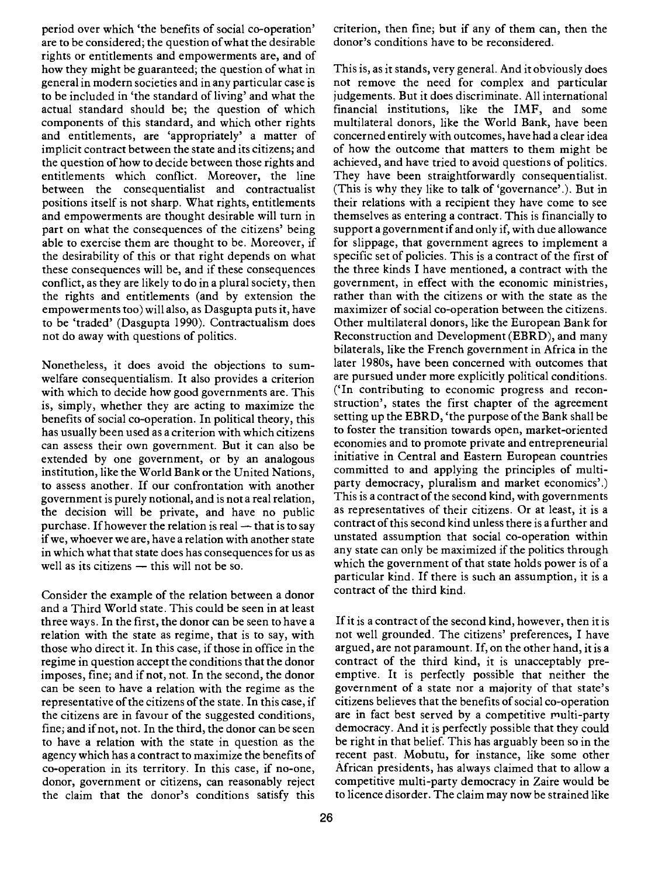period over which 'the benefits of social co-operation' are to be considered; the question of what the desirable rights or entitlements and empowerments are, and of how they might be guaranteed; the question of what in general in modern societies and in any particular case is to be included in 'the standard of living' and what the actual standard should be; the question of which components of this standard, and which other rights and entitlements, are 'appropriately' a matter of implicit contract between the state and its citizens; and the question of how to decide between those rights and entitlements which conflict. Moreover, the line between the consequentialist and contractualist positions itself is not sharp. What rights, entitlements and empowerments are thought desirable will turn in part on what the consequences of the citizens' being able to exercise them are thought to be. Moreover, if the desirability of this or that right depends on what these consequences will be, and if these consequences conflict, as they are likely to do in a plural society, then the rights and entitlements (and by extension the empowerments too) will also, as Dasgupta puts it, have to be 'traded' (Dasgupta 1990). Contractualism does not do away with questions of politics.

Nonetheless, it does avoid the objections to sumwelfare consequentialism. It also provides a criterion with which to decide how good governments are. This is, simply, whether they are acting to maximize the benefits of social co-operation. In political theory, this has usually been used as a criterion with which citizens can assess their own government. But it can also be extended by one government, or by an analogous institution, like the World Bank or the United Nations, to assess another. If our confrontation with another government is purely notional, and is not a real relation, the decision will be private, and have no public purchase. If however the relation is real  $-$  that is to say if we, whoever we are, have a relation with another state in which what that state does has consequences for us as well as its citizens  $-$  this will not be so.

Consider the example of the relation between a donor and a Third World state. This could be seen in at least three ways. In the first, the donor can be seen to have a relation with the state as regime, that is to say, with those who direct it. In this case, if those in office in the regime in question accept the conditions that the donor imposes, fine; and if not, not. In the second, the donor can be seen to have a relation with the regime as the representative of the citizens of the state. In this case, if the citizens are in favour of the suggested conditions, fine; and if not, not. In the third, the donor can be seen to have a relation with the state in question as the agency which has a contract to maximize the benefits of co-operation in its territory. In this case, if no-one, donor, government or citizens, can reasonably reject the claim that the donor's conditions satisfy this

26

criterion, then fine; but if any of them can, then the donor's conditions have to be reconsidered.

This is, as it stands, very general. And it obviously does not remove the need for complex and particular judgements. But it does discriminate. All international financial institutions, like the IMF, and some multilateral donors, like the World Bank, have been concerned entirely with outcomes, have had a clear idea of how the outcome that matters to them might be achieved, and have tried to avoid questions of politics. They have been straightforwardly consequentialist. (This is why they like to talk of 'governance'.). But in their relations with a recipient they have come to see themselves as entering a contract. This is financially to support a government if and only if, with due allowance for slippage, that government agrees to implement a specific set of policies. This is a contract of the first of the three kinds I have mentioned, a contract with the government, in effect with the economic ministries, rather than with the citizens or with the state as the maximizer of social co-operation between the citizens. Other multilateral donors, like the European Bank for Reconstruction and Development (EBRD), and many bilaterals, like the French government in Africa in the later 1980s, have been concerned with outcomes that are pursued under more explicitly political conditions. ('In contributing to economic progress and reconstruction', states the first chapter of the agreement setting up the EBRD, 'the purpose of the Bank shall be to foster the transition towards open, market-oriented economies and to promote private and entrepreneurial initiative in Central and Eastern European countries committed to and applying the principles of multiparty democracy, pluralism and market economics'.) This is a contract of the second kind, with governments as representatives of their citizens. Or at least, it is a contract of this second kind unless there is a further and unstated assumption that social co-operation within any state can only be maximized if the politics through which the government of that state holds power is of a particular kind. If there is such an assumption, it is a contract of the third kind.

If it is a contract of the second kind, however, then it is not well grounded. The citizens' preferences, I have argued, are not paramount. If, on the other hand, it is a contract of the third kind, it is unacceptably preemptive. It is perfectly possible that neither the government of a state nor a majority of that state's citizens believes that the benefits of social co-operation are in fact best served by a competitive multi-party democracy. And it is perfectly possible that they could be right in that belief. This has arguably been so in the recent past. Mobutu, for instance, like some other African presidents, has always claimed that to allow a competitive multi-party democracy in Zaire would be to licence disorder. The claim may now be strained like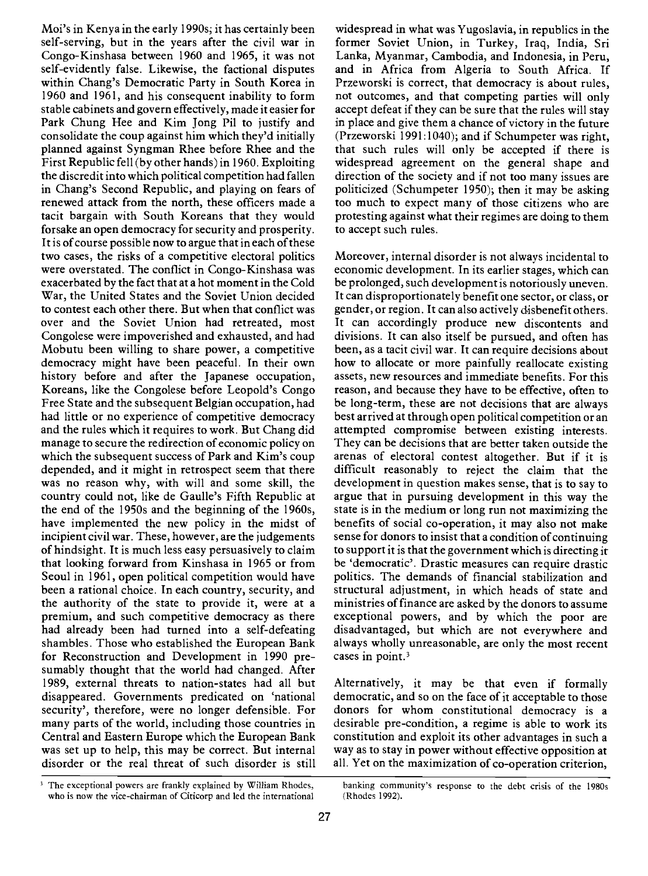Moi's in Kenya in the early 1990s; it has certainly been self-serving, but in the years after the civil war in Congo-Kinshasa between 1960 and 1965, it was not self-evidently false. Likewise, the factional disputes within Chang's Democratic Party in South Korea in 1960 and 1961, and his consequent inability to form stable cabinets and govern effectively, made it easier for Park Chung Hee and Kim Jong Pil to justify and consolidate the coup against him which they'd initially planned against Syngman Rhee before Rhee and the First Republic fell (by other hands) in 1960. Exploiting the discredit into which political competition had fallen in Chang's Second Republic, and playing on fears of renewed attack from the north, these officers made a tacit bargain with South Koreans that they would forsake an open democracy for security and prosperity. It is of course possible now to argue that in each of these two cases, the risks of a competitive electoral politics were overstated. The conflict in Congo-Kinshasa was exacerbated by the fact that at a hot moment in the Cold War, the United States and the Soviet Union decided to contest each other there. But when that conflict was over and the Soviet Union had retreated, most Congolese were impoverished and exhausted, and had Mobutu been willing to share power, a competitive democracy might have been peaceful. In their own history before and after the Japanese occupation, Koreans, like the Congolese before Leopold's Congo Free State and the subsequent Belgian occupation, had had little or no experience of competitive democracy and the rules which it requires to work. But Chang did manage to secure the redirection of economic policy on which the subsequent success of Park and Kim's coup depended, and it might in retrospect seem that there was no reason why, with will and some skill, the country could not, like de Gaulle's Fifth Republic at the end of the 1950s and the beginning of the 1960s, have implemented the new policy in the midst of incipient civil war. These, however, are the judgements of hindsight. It is much less easy persuasively to claim that looking forward from Kinshasa in 1965 or from Seoul in 1961, open political competition would have been a rational choice. In each country, security, and the authority of the state to provide it, were at a premium, and such competitive democracy as there had already been had turned into a self-defeating shambles. Those who established the European Bank for Reconstruction and Development in 1990 presumably thought that the world had changed. After 1989, external threats to nation-states had all but disappeared. Governments predicated on 'national security', therefore, were no longer defensible. For many parts of the world, including those countries in Central and Eastern Europe which the European Bank was set up to help, this may be correct. But internal disorder or the real threat of such disorder is still widespread in what was Yugoslavia, in republics in the former Soviet Union, in Turkey, Iraq, India, Sri Lanka, Myanmar, Cambodia, and Indonesia, in Peru, and in Africa from Algeria to South Africa. If Przeworski is correct, that democracy is about rules, not outcomes, and that competing parties will only accept defeat if they can be sure that the rules will stay in place and give them a chance of victory in the future (Przeworski 1991:1040); and if Schumpeter was right, that such rules will only be accepted if there is widespread agreement on the general shape and direction of the society and if not too many issues are politicized (Schumpeter 1950); then it may be asking too much to expect many of those citizens who are protesting against what their regimes are doing to them to accept such rules.

Moreover, internal disorder is not always incidental to economic development. In its earlier stages, which can be prolonged, such development is notoriously uneven. It can disproportionately benefit one sector, or class, or gender, or region. It can also actively disbenefit others. It can accordingly produce new discontents and divisions. It can also itself be pursued, and often has been, as a tacit civil war. It can require decisions about how to allocate or more painfully reallocate existing assets, new resources and immediate benefits. For this reason, and because they have to be effective, often to be long-term, these are not decisions that are always best arrived at through open political competition or an attempted compromise between existing interests. They can be decisions that are better taken outside the arenas of electoral contest altogether. But if it is difficult reasonably to reject the claim that the development in question makes sense, that is to say to argue that in pursuing development in this way the state is in the medium or long run not maximizing the benefits of social co-operation, it may also not make sense for donors to insist that a condition of continuing to support it is that the government which is directing it be 'democratic'. Drastic measures can require drastic politics. The demands of financial stabilization and structural adjustment, in which heads of state and ministries of finance are asked by the donors to assume exceptional powers, and by which the poor are disadvantaged, but which are not everywhere and always wholly unreasonable, are only the most recent cases in point.<sup>3</sup>

Alternatively, it may be that even if formally democratic, and so on the face of it acceptable to those donors for whom constitutional democracy is a desirable pre-condition, a regime is able to work its constitution and exploit its other advantages in such a way as to stay in power without effective opposition at all. Yet on the maximization of co-operation criterion,

<sup>&</sup>lt;sup>3</sup> The exceptional powers are frankly explained by William Rhodes, banking community's response to the debt crisis of the 1980s who is now the vice-chairman of Citicorp and led the international (Rhodes 1992).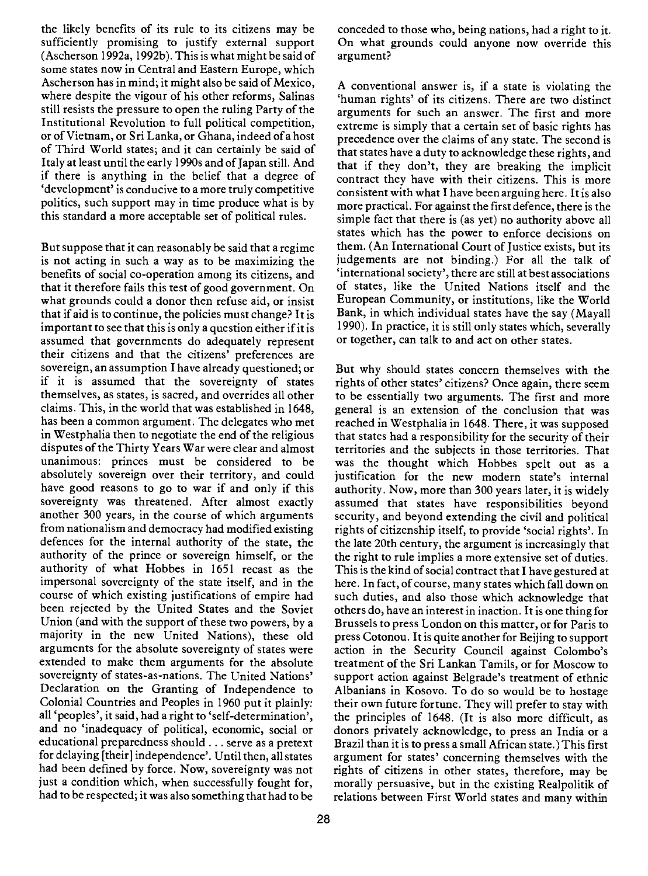the likely benefits of its rule to its citizens may be sufficiently promising to justify external support (Ascherson 1992a, 1992b). This is what might be said of some states now in Central and Eastern Europe, which Ascherson has in mind; it might also be said of Mexico, where despite the vigour of his other reforms, Salinas still resists the pressure to open the ruling Party of the Institutional Revolution to full political competition, or of Vietnam, or Sri Lanka, or Ghana, indeed of a host of Third World states; and it can certainly be said of Italy at least until the early 1990s and of Japan still. And if there is anything in the belief that a degree of 'development' is conducive to a more truly competitive politics, such support may in time produce what is by this standard a more acceptable set of political rules.

But suppose that it can reasonably be said that a regime is not acting in such a way as to be maximizing the benefits of social co-operation among its citizens, and that it therefore fails this test of good government. On what grounds could a donor then refuse aid, or insist that if aid is to continue, the policies must change? It is important to see that this is only a question either if it is assumed that governments do adequately represent their citizens and that the citizens' preferences are sovereign, an assumption I have already questioned; or if it is assumed that the sovereignty of states themselves, as states, is sacred, and overrides all other claims. This, in the world that was established in 1648, has been a common argument. The delegates who met in Westphalia then to negotiate the end of the religious disputes of the Thirty Years War were clear and almost unanimous: princes must be considered to be absolutely sovereign over their territory, and could have good reasons to go to war if and only if this sovereignty was threatened. After almost exactly another 300 years, in the course of which arguments from nationalism and democracy had modified existing defences for the internal authority of the state, the authority of the prince or sovereign himself, or the authority of what Hobbes in 1651 recast as the impersonal sovereignty of the state itself, and in the course of which existing justifications of empire had been rejected by the United States and the Soviet Union (and with the support of these two powers, by a majority in the new United Nations), these old arguments for the absolute sovereignty of states were extended to make them arguments for the absolute sovereignty of states-as-nations. The United Nations' Declaration on the Granting of Independence to Colonial Countries and Peoples in 1960 put it plainly: all 'peoples', it said, had a right to 'self-determination', and no 'inadequacy of political, economic, social or educational preparedness should. . . serve as a pretext for delaying [their] independence'. Until then, all states had been defined by force. Now, sovereignty was not just a condition which, when successfully fought for, had to be respected; it was also something that had to be

conceded to those who, being nations, had a right to it. On what grounds could anyone now override this argument?

A conventional answer is, if a state is violating the 'human rights' of its citizens. There are two distinct arguments for such an answer. The first and more extreme is simply that a certain set of basic rights has precedence over the claims of any state. The second is that states have a duty to acknowledge these rights, and that if they don't, they are breaking the implicit contract they have with their citizens. This is more consistent with what I have been arguing here. It is also more practical. For against the first defence, there is the simple fact that there is (as yet) no authority above all states which has the power to enforce decisions on them. (An International Court of Justice exists, but its iudgements are not binding.) For all the talk of 'international society', there are still at best associations of states, like the United Nations itself and the European Community, or institutions, like the World Bank, in which individual states have the say (Mayall 1990). In practice, it is still only states which, severally or together, can talk to and act on other states.

But why should states concern themselves with the rights of other states' citizens? Once again, there seem to be essentially two arguments. The first and more general is an extension of the conclusion that was reached in Westphalia in 1648. There, it was supposed that states had a responsibility for the security of their territories and the subjects in those territories. That was the thought which Hobbes spelt out as a justification for the new modern state's internal authority. Now, more than 300 years later, it is widely assumed that states have responsibilities beyond security, and beyond extending the civil and political rights of citizenship itself, to provide 'social rights'. In the late 20th century, the argument is increasingly that the right to rule implies a more extensive set of duties. This is the kind of social contract that I have gestured at here. In fact, of course, many states which fall down on such duties, and also those which acknowledge that others do, have an interest in inaction. It is one thing for Brussels to press London on this matter, or for Paris to press Cotonou. It is quite another for Beijing to support action in the Security Council against Colombo's treatment of the Sri Lankan Tamils, or for Moscow to support action against Belgrade's treatment of ethnic Albanians in Kosovo. To do so would be to hostage their own future fortune. They will prefer to stay with the principles of 1648. (It is also more difficult, as donors privately acknowledge, to press an India or a Brazil than it is to press a small African state.) This first argument for states' concerning themselves with the rights of citizens in other states, therefore, may be morally persuasive, but in the existing Realpolitik of relations between First World states and many within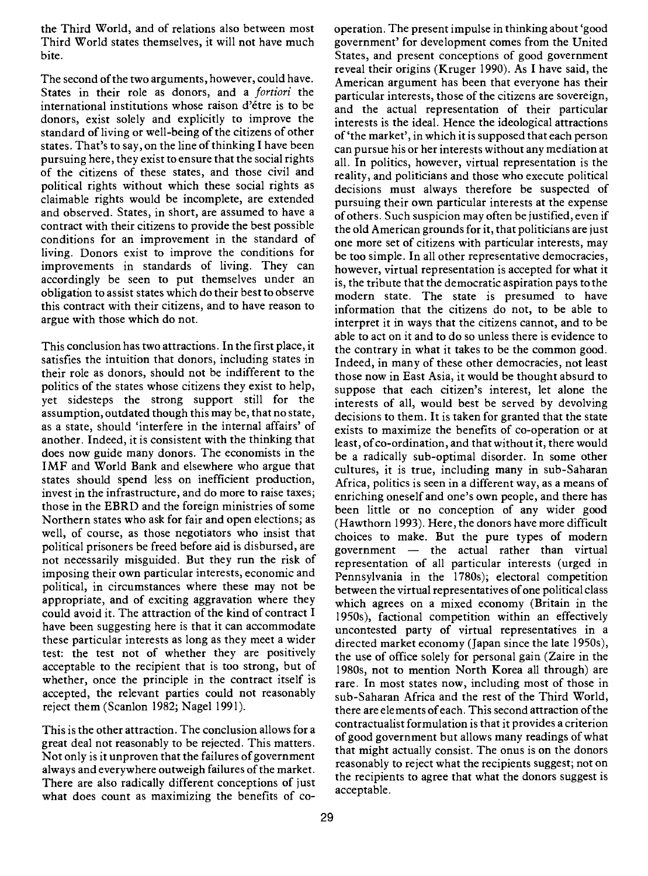the Third World, and of relations also between most Third World states themselves, it will not have much bite.

The second of the two arguments, however, could have. States in their role as donors, and a *fortiori* the international institutions whose raison d'étre is to be donors, exist solely and explicitly to improve the standard of living or well-being of the citizens of other states. That's to say, on the line of thinking I have been pursuing here, they exist to ensure that the social rights of the citizens of these states, and those civil and political rights without which these social rights as claimable rights would be incomplete, are extended and observed. States, in short, are assumed to have a contract with their citizens to provide the best possible conditions for an improvement in the standard of living. Donors exist to improve the conditions for improvements in standards of living. They can accordingly be seen to put themselves under an obligation to assist states which do their best to observe this contract with their citizens, and to have reason to argue with those which do not.

This conclusion has two attractions. In the first place, it satisfies the intuition that donors, including states in their role as donors, should not be indifferent to the politics of the states whose citizens they exist to help, yet sidesteps the strong support still for the assumption, outdated though this may be, that no state, as a state, should 'interfere in the internal affairs' of another. Indeed, it is consistent with the thinking that does now guide many donors. The economists in the IMF and World Bank and elsewhere who argue that states should spend less on inefficient production, invest in the infrastructure, and do more to raise taxes; those in the EBRD and the foreign ministries of some Northern states who ask for fair and open elections; as well, of course, as those negotiators who insist that choices to make. But the pure types of modern political prisoners be freed before aid is disbursed, are not necessarily misguided. But they run the risk of imposing their own particular interests, economic and political, in circumstances where these may not be appropriate, and of exciting aggravation where they could avoid it. The attraction of the kind of contract I have been suggesting here is that it can accommodate these particular interests as long as they meet a wider test: the test not of whether they are positively acceptable to the recipient that is too strong, but of whether, once the principle in the contract itself is accepted, the relevant parties could not reasonably reject them (Scanlon 1982; Nagel 1991).

This is the other attraction. The conclusion allows for a great deal not reasonably to be rejected. This matters. Not only is it unproven that the failures of government always and everywhere outweigh failures of the market. There are also radically different conceptions of just what does count as maximizing the benefits of co-

operation. The present impulse in thinking about 'good government' for development comes from the United States, and present conceptions of good government reveal their origins (Kruger 1990). As I have said, the American argument has been that everyone has their particular interests, those of the citizens are sovereign, and the actual representation of their particular interests is the ideal. Hence the ideological attractions of 'the market', in which it is supposed that each person can pursue his or her interests without any mediation at all. In politics, however, virtual representation is the reality, and politicians and those who execute political decisions must always therefore be suspected of pursuing their own particular interests at the expense of others. Such suspicion may often be justified, even if the old American grounds for it, that politicians are just one more set of citizens with particular interests, may be too simple. In all other representative democracies, however, virtual representation is accepted for what it is, the tribute that the democratic aspiration pays to the modern state. The state is presumed to have information that the citizens do not, to be able to interpret it in ways that the citizens cannot, and to be able to act on it and to do so unless there is evidence to the contrary in what it takes to be the common good. Indeed, in many of these other democracies, not least those now in East Asia, it would be thought absurd to suppose that each citizen's interest, let alone the interests of all, would best be served by devolving decisions to them. It is taken for granted that the state exists to maximize the benefits of co-operation or at least, of co-ordination, and that without it, there would be a radically sub-optimal disorder. In some other cultures, it is true, including many in sub-Saharan Africa, politics is seen in a different way, as a means of enriching oneself and one's own people, and there has been little or no conception of any wider good (Hawthorn 1993). Here, the donors have more difficult government  $-$  the actual rather than virtual representation of all particular interests (urged in Pennsylvania in the 1780s); electoral competition between the virtual representatives of one political class which agrees on a mixed economy (Britain in the 1950s), factional competition within an effectively uncontested party of virtual representatives in a directed market economy (Japan since the late 1950s), the use of office solely for personal gain (Zaire in the 1 980s, not to mention North Korea all through) are rare. In most states now, including most of those in sub-Saharan Africa and the rest of the Third World, there are elements of each. This second attraction of the contractualist formulation is that it provides a criterion of good government but allows many readings of what that might actually consist. The onus is on the donors reasonably to reject what the recipients suggest; not on the recipients to agree that what the donors suggest is acceptable.